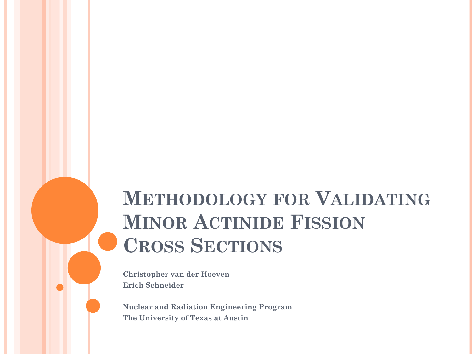# **METHODOLOGY FOR VALIDATING MINOR ACTINIDE FISSION CROSS SECTIONS**

**Christopher van der Hoeven Erich Schneider**

**Nuclear and Radiation Engineering Program The University of Texas at Austin**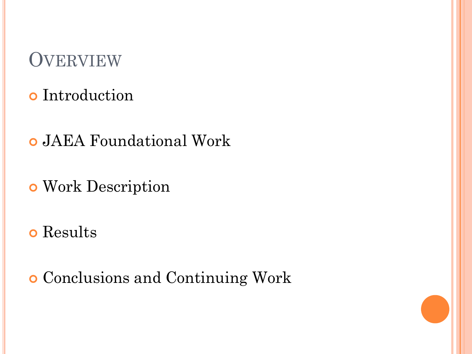#### **OVERVIEW**

- **o** Introduction
- JAEA Foundational Work
- Work Description
- o Results
- Conclusions and Continuing Work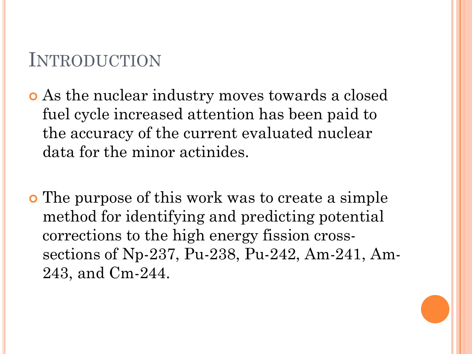#### INTRODUCTION

- As the nuclear industry moves towards a closed fuel cycle increased attention has been paid to the accuracy of the current evaluated nuclear data for the minor actinides.
- The purpose of this work was to create a simple method for identifying and predicting potential corrections to the high energy fission crosssections of Np-237, Pu-238, Pu-242, Am-241, Am-243, and Cm-244.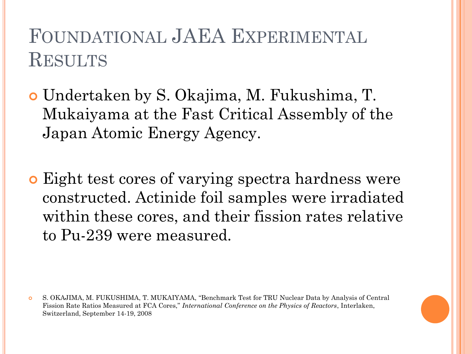# FOUNDATIONAL JAEA EXPERIMENTAL **RESULTS**

- Undertaken by S. Okajima, M. Fukushima, T. Mukaiyama at the Fast Critical Assembly of the Japan Atomic Energy Agency.
- Eight test cores of varying spectra hardness were constructed. Actinide foil samples were irradiated within these cores, and their fission rates relative to Pu-239 were measured.

 S. OKAJIMA, M. FUKUSHIMA, T. MUKAIYAMA, "Benchmark Test for TRU Nuclear Data by Analysis of Central Fission Rate Ratios Measured at FCA Cores," *International Conference on the Physics of Reactors*, Interlaken, Switzerland, September 14-19, 2008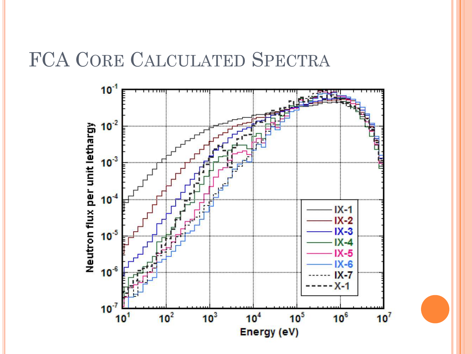#### FCA CORE CALCULATED SPECTRA

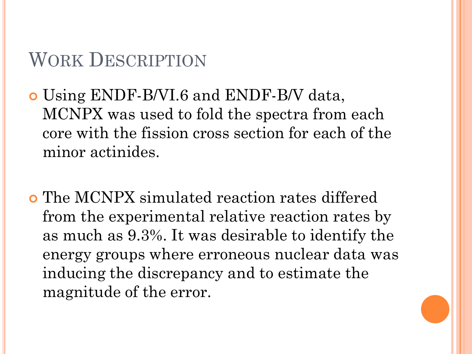## WORK DESCRIPTION

- Using ENDF-B/VI.6 and ENDF-B/V data, MCNPX was used to fold the spectra from each core with the fission cross section for each of the minor actinides.
- The MCNPX simulated reaction rates differed from the experimental relative reaction rates by as much as 9.3%. It was desirable to identify the energy groups where erroneous nuclear data was inducing the discrepancy and to estimate the magnitude of the error.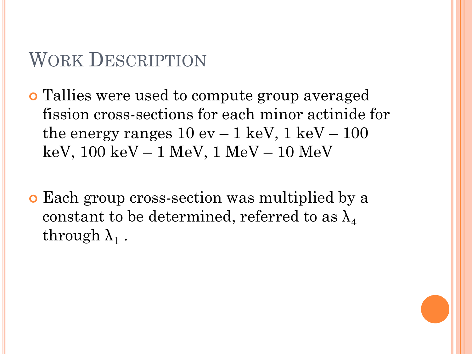## WORK DESCRIPTION

- Tallies were used to compute group averaged fission cross-sections for each minor actinide for the energy ranges  $10 \text{ ev} - 1 \text{ keV}$ ,  $1 \text{ keV} - 100$ keV, 100 keV – 1 MeV, 1 MeV – 10 MeV
- Each group cross-section was multiplied by a constant to be determined, referred to as  $\lambda_4$  $\hbox{through }\lambda_1$  .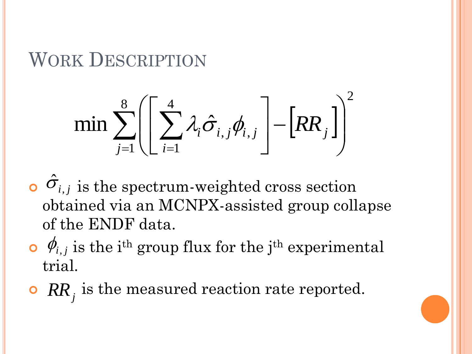## WORK DESCRIPTION

$$
\min \sum_{j=1}^{8} \left( \left[ \sum_{i=1}^{4} \lambda_i \hat{\sigma}_{i,j} \phi_{i,j} \right] - \left[ RR_j \right] \right)^2
$$

- $\hat{\sigma}_{i,j}$  is the spectrum-weighted cross section obtained via an MCNPX-assisted group collapse of the ENDF data.
- $\phi$ , *i* is the i<sup>th</sup> group flux for the j<sup>th</sup> experimental trial.
- $\bullet$  *RR<sub>j</sub>* is the measured reaction rate reported.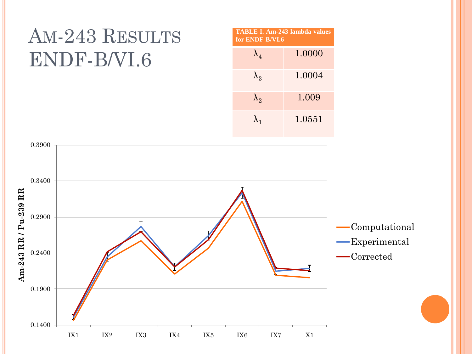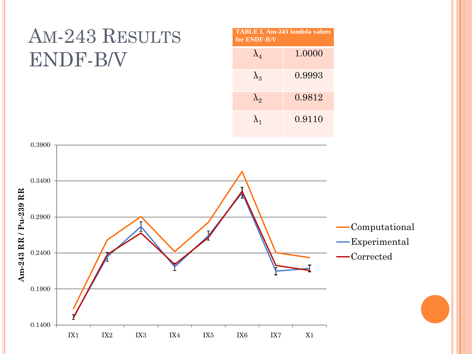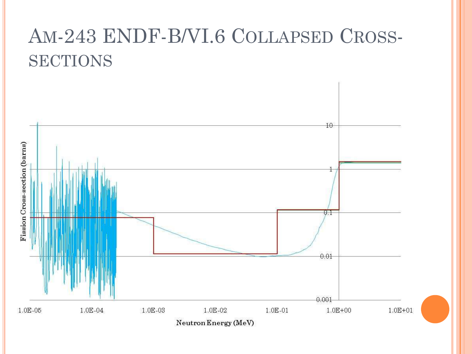# AM-243 ENDF-B/VI.6 COLLAPSED CROSS-**SECTIONS**

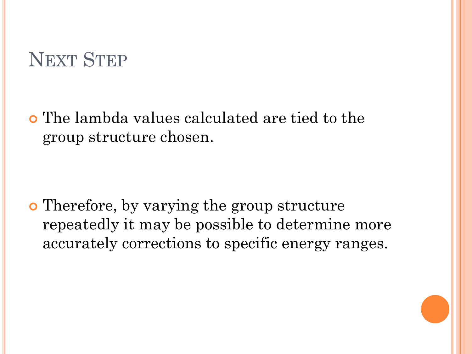### NEXT STEP

 The lambda values calculated are tied to the group structure chosen.

 Therefore, by varying the group structure repeatedly it may be possible to determine more accurately corrections to specific energy ranges.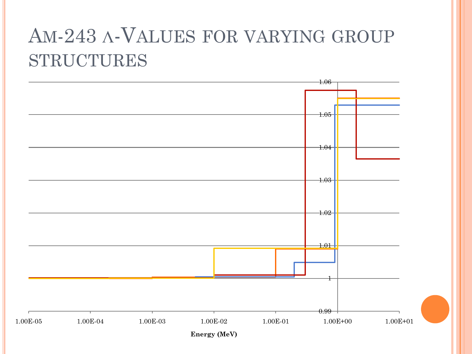# AM-243 Λ-VALUES FOR VARYING GROUP STRUCTURES

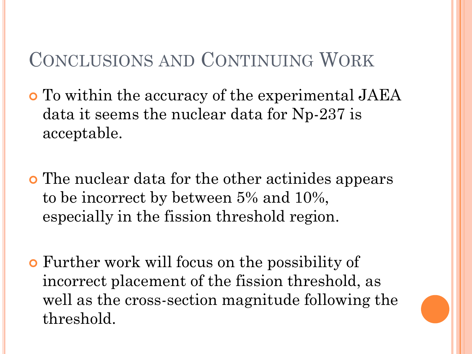## CONCLUSIONS AND CONTINUING WORK

 To within the accuracy of the experimental JAEA data it seems the nuclear data for Np-237 is acceptable.

- The nuclear data for the other actinides appears to be incorrect by between 5% and 10%, especially in the fission threshold region.
- Further work will focus on the possibility of incorrect placement of the fission threshold, as well as the cross-section magnitude following the threshold.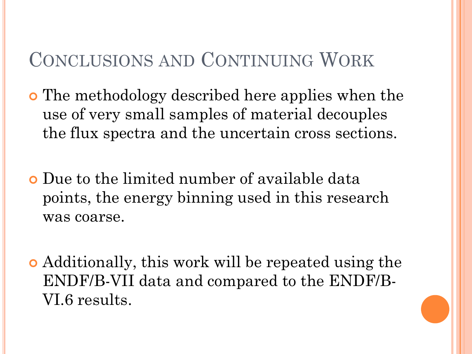### CONCLUSIONS AND CONTINUING WORK

- The methodology described here applies when the use of very small samples of material decouples the flux spectra and the uncertain cross sections.
- Due to the limited number of available data points, the energy binning used in this research was coarse.
- Additionally, this work will be repeated using the ENDF/B-VII data and compared to the ENDF/B-VI.6 results.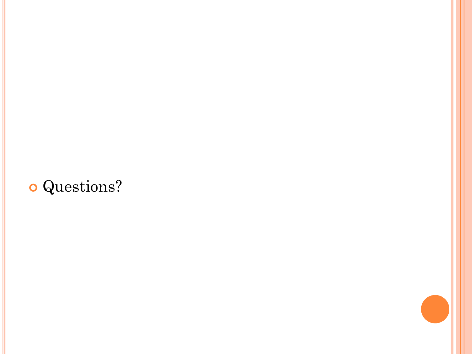## Questions?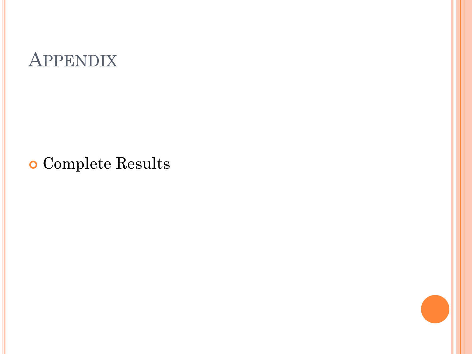# APPENDIX

#### Complete Results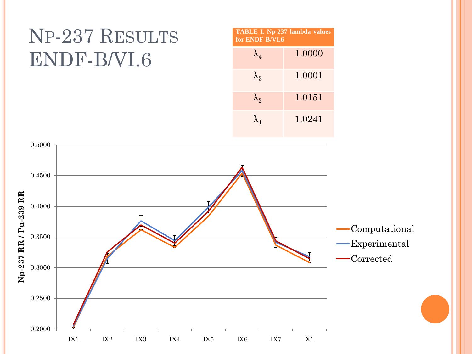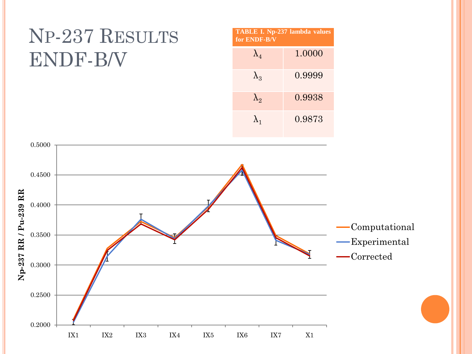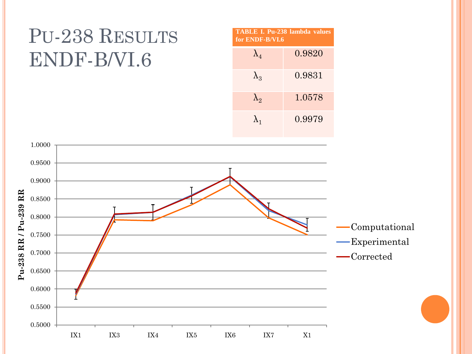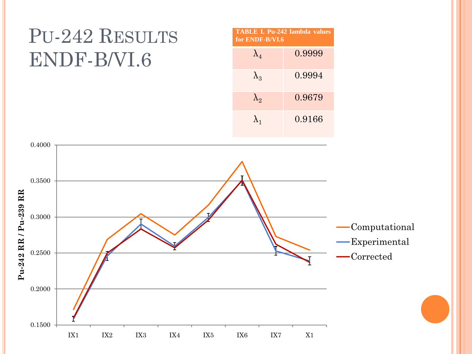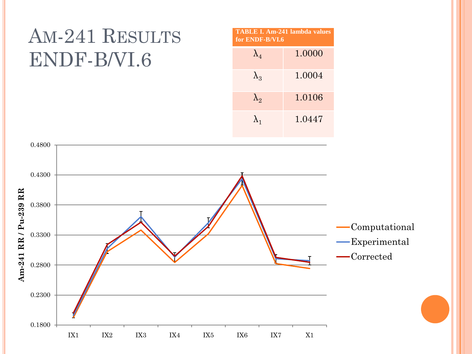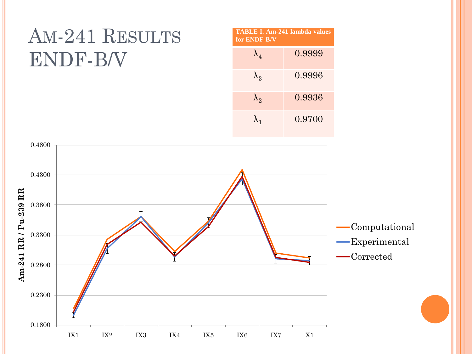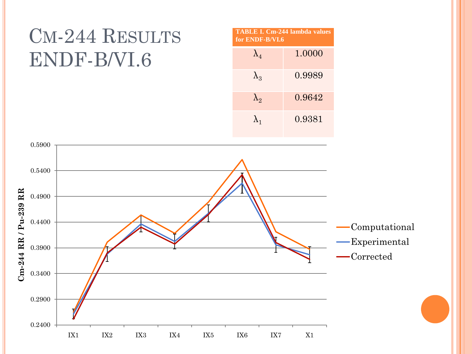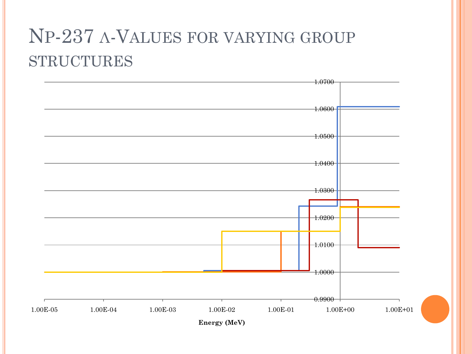# NP-237 Λ-VALUES FOR VARYING GROUP STRUCTURES

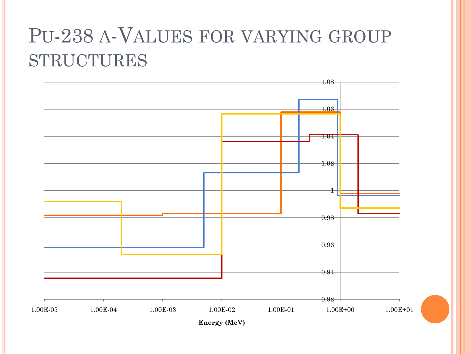# PU-238 Λ-VALUES FOR VARYING GROUP STRUCTURES

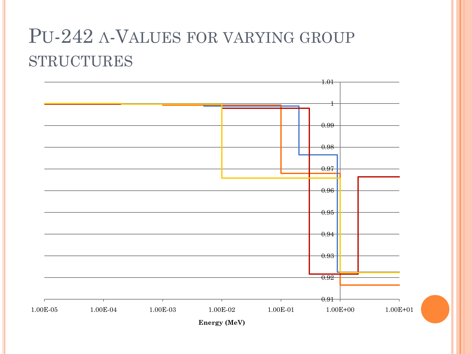# PU-242 Λ-VALUES FOR VARYING GROUP STRUCTURES

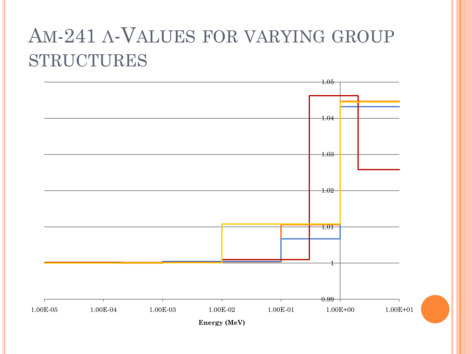# AM-241 Λ-VALUES FOR VARYING GROUP STRUCTURES